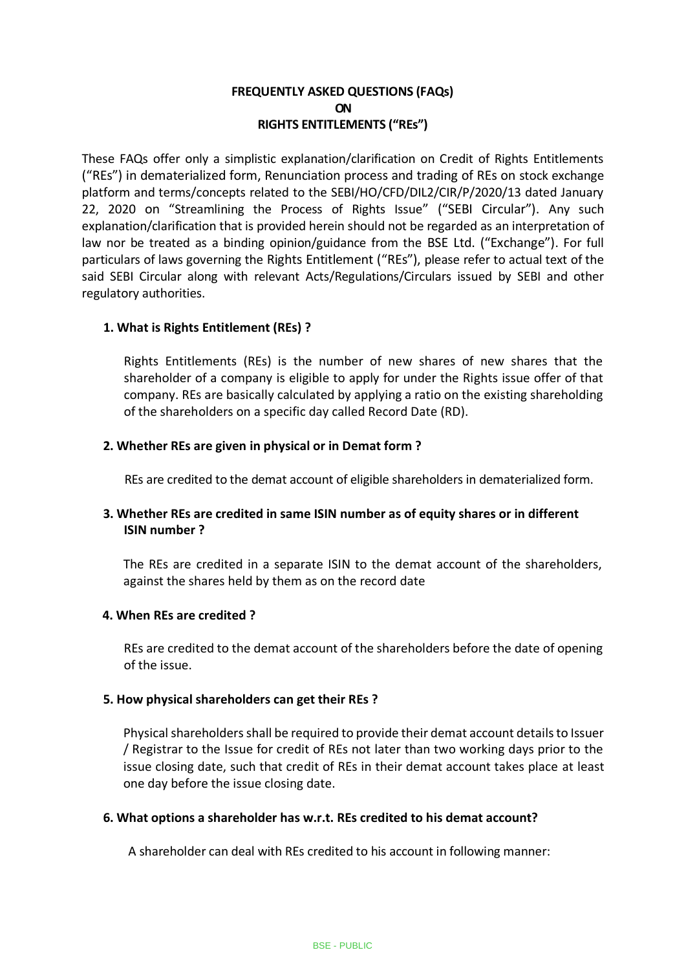# **FREQUENTLY ASKED QUESTIONS (FAQs) ON RIGHTS ENTITLEMENTS ("REs")**

These FAQs offer only a simplistic explanation/clarification on Credit of Rights Entitlements ("REs") in dematerialized form, Renunciation process and trading of REs on stock exchange platform and terms/concepts related to the SEBI/HO/CFD/DIL2/CIR/P/2020/13 dated January 22, 2020 on "Streamlining the Process of Rights Issue" ("SEBI Circular"). Any such explanation/clarification that is provided herein should not be regarded as an interpretation of law nor be treated as a binding opinion/guidance from the BSE Ltd. ("Exchange"). For full particulars of laws governing the Rights Entitlement ("REs"), please refer to actual text of the said SEBI Circular along with relevant Acts/Regulations/Circulars issued by SEBI and other regulatory authorities.

# **1. What is Rights Entitlement (REs) ?**

Rights Entitlements (REs) is the number of new shares of new shares that the shareholder of a company is eligible to apply for under the Rights issue offer of that company. REs are basically calculated by applying a ratio on the existing shareholding of the shareholders on a specific day called Record Date (RD).

## **2. Whether REs are given in physical or in Demat form ?**

REs are credited to the demat account of eligible shareholders in dematerialized form.

# **3. Whether REs are credited in same ISIN number as of equity shares or in different ISIN number ?**

The REs are credited in a separate ISIN to the demat account of the shareholders, against the shares held by them as on the record date

## **4. When REs are credited ?**

REs are credited to the demat account of the shareholders before the date of opening of the issue.

## **5. How physical shareholders can get their REs ?**

Physical shareholders shall be required to provide their demat account details to Issuer / Registrar to the Issue for credit of REs not later than two working days prior to the issue closing date, such that credit of REs in their demat account takes place at least one day before the issue closing date.

## **6. What options a shareholder has w.r.t. REs credited to his demat account?**

A shareholder can deal with REs credited to his account in following manner: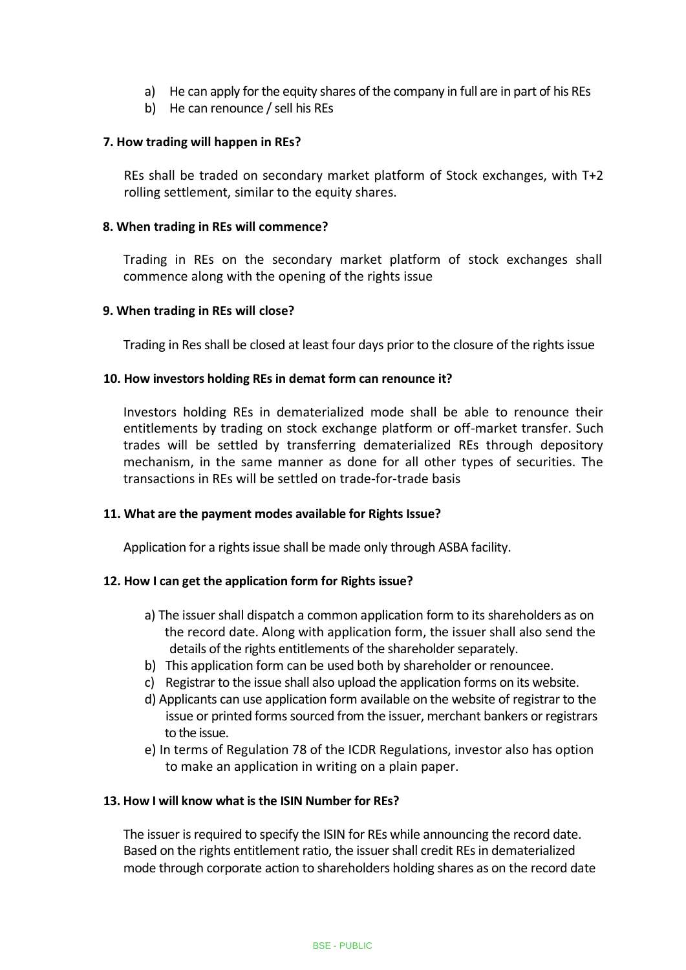- a) He can apply for the equity shares of the company in full are in part of his REs
- b) He can renounce / sell his REs

## **7. How trading will happen in REs?**

REs shall be traded on secondary market platform of Stock exchanges, with T+2 rolling settlement, similar to the equity shares.

## **8. When trading in REs will commence?**

Trading in REs on the secondary market platform of stock exchanges shall commence along with the opening of the rights issue

## **9. When trading in REs will close?**

Trading in Res shall be closed at least four days prior to the closure of the rights issue

# **10. How investors holding REs in demat form can renounce it?**

Investors holding REs in dematerialized mode shall be able to renounce their entitlements by trading on stock exchange platform or off-market transfer. Such trades will be settled by transferring dematerialized REs through depository mechanism, in the same manner as done for all other types of securities. The transactions in REs will be settled on trade-for-trade basis

## **11. What are the payment modes available for Rights Issue?**

Application for a rights issue shall be made only through ASBA facility.

# **12. How I can get the application form for Rights issue?**

- a) The issuer shall dispatch a common application form to its shareholders as on the record date. Along with application form, the issuer shall also send the details of the rights entitlements of the shareholder separately.
- b) This application form can be used both by shareholder or renouncee.
- c) Registrar to the issue shall also upload the application forms on its website.
- d) Applicants can use application form available on the website of registrar to the issue or printed forms sourced from the issuer, merchant bankers or registrars to the issue.
- e) In terms of Regulation 78 of the ICDR Regulations, investor also has option to make an application in writing on a plain paper.

# **13. How I will know what is the ISIN Number for REs?**

The issuer is required to specify the ISIN for REs while announcing the record date. Based on the rights entitlement ratio, the issuer shall credit REs in dematerialized mode through corporate action to shareholders holding shares as on the record date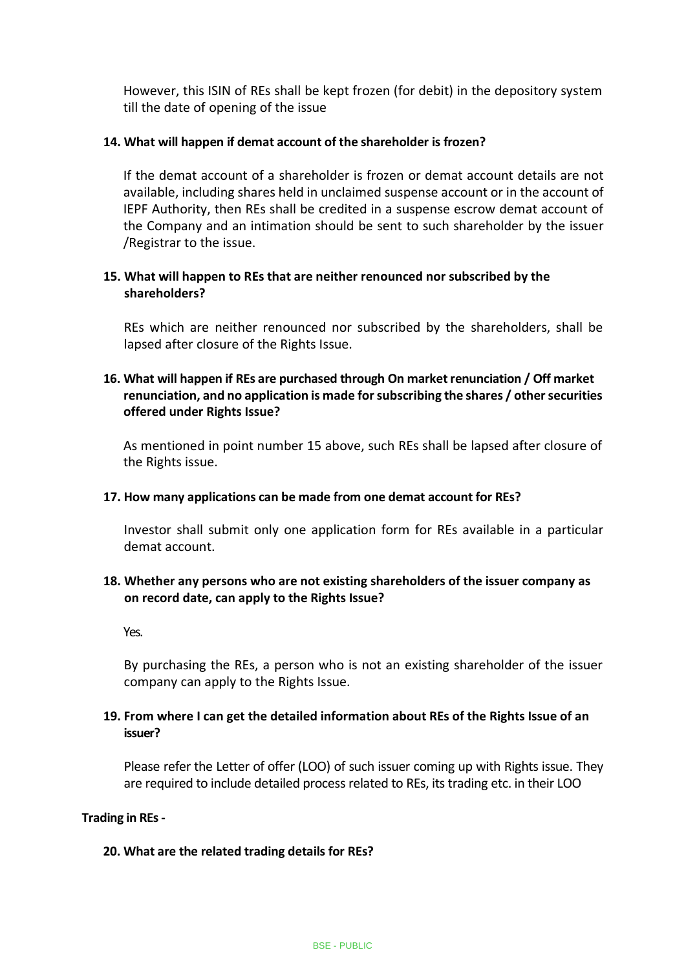However, this ISIN of REs shall be kept frozen (for debit) in the depository system till the date of opening of the issue

## **14. What will happen if demat account of the shareholder is frozen?**

If the demat account of a shareholder is frozen or demat account details are not available, including shares held in unclaimed suspense account or in the account of IEPF Authority, then REs shall be credited in a suspense escrow demat account of the Company and an intimation should be sent to such shareholder by the issuer /Registrar to the issue.

# **15. What will happen to REs that are neither renounced nor subscribed by the shareholders?**

REs which are neither renounced nor subscribed by the shareholders, shall be lapsed after closure of the Rights Issue.

# **16. What will happen if REs are purchased through On market renunciation / Off market renunciation, and no application is made for subscribing the shares / other securities offered under Rights Issue?**

As mentioned in point number 15 above, such REs shall be lapsed after closure of the Rights issue.

#### **17. How many applications can be made from one demat account for REs?**

Investor shall submit only one application form for REs available in a particular demat account.

# **18. Whether any persons who are not existing shareholders of the issuer company as on record date, can apply to the Rights Issue?**

Yes.

By purchasing the REs, a person who is not an existing shareholder of the issuer company can apply to the Rights Issue.

# **19. From where I can get the detailed information about REs of the Rights Issue of an issuer?**

Please refer the Letter of offer (LOO) of such issuer coming up with Rights issue. They are required to include detailed process related to REs, its trading etc. in their LOO

#### **Trading in REs -**

#### **20. What are the related trading details for REs?**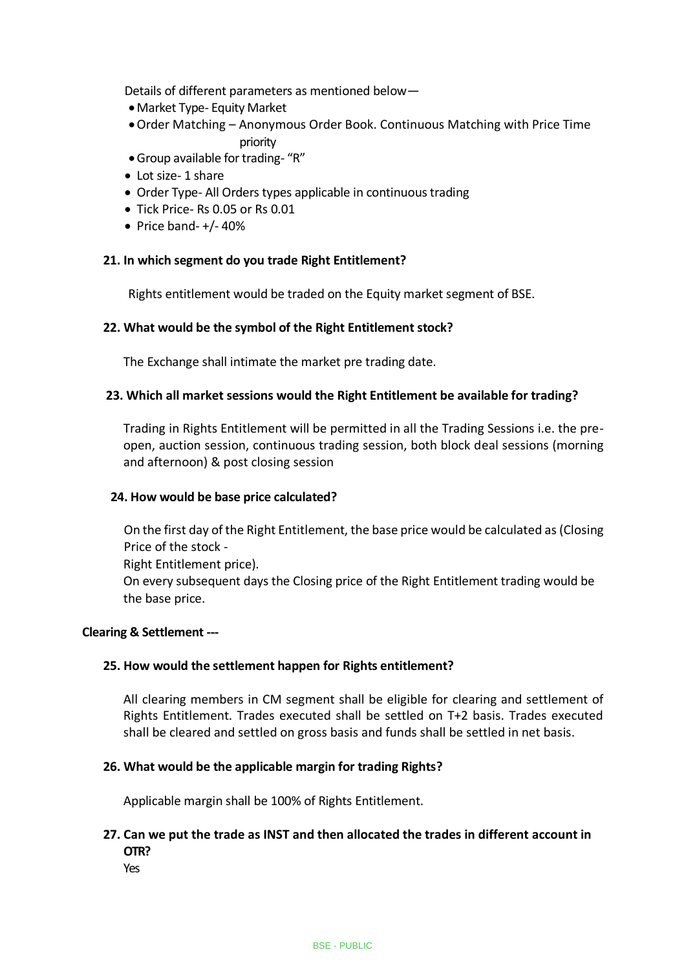Details of different parameters as mentioned below—

- •Market Type- Equity Market
- •Order Matching Anonymous Order Book. Continuous Matching with Price Time priority
- •Group available for trading- "R"
- Lot size- 1 share
- Order Type- All Orders types applicable in continuous trading
- Tick Price- Rs 0.05 or Rs 0.01
- $\bullet$  Price band- $+/- 40\%$

### **21. In which segment do you trade Right Entitlement?**

Rights entitlement would be traded on the Equity market segment of BSE.

### **22. What would be the symbol of the Right Entitlement stock?**

The Exchange shall intimate the market pre trading date.

### **23. Which all market sessions would the Right Entitlement be available for trading?**

Trading in Rights Entitlement will be permitted in all the Trading Sessions i.e. the preopen, auction session, continuous trading session, both block deal sessions (morning and afternoon) & post closing session

#### **24. How would be base price calculated?**

On the first day of the Right Entitlement, the base price would be calculated as (Closing Price of the stock - Right Entitlement price). On every subsequent days the Closing price of the Right Entitlement trading would be the base price.

#### **Clearing & Settlement ---**

#### **25. How would the settlement happen for Rights entitlement?**

All clearing members in CM segment shall be eligible for clearing and settlement of Rights Entitlement. Trades executed shall be settled on T+2 basis. Trades executed shall be cleared and settled on gross basis and funds shall be settled in net basis.

#### **26. What would be the applicable margin for trading Rights?**

Applicable margin shall be 100% of Rights Entitlement.

# **27. Can we put the trade as INST and then allocated the trades in different account in OTR?**

Yes